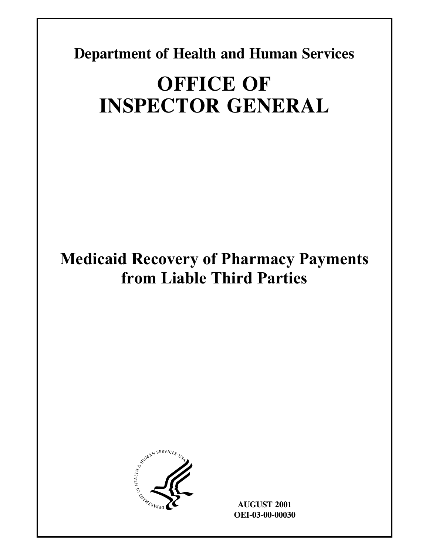**Department of Health and Human Services** 

# **OFFICE OF INSPECTOR GENERAL**

## **Medicaid Recovery of Pharmacy Payments from Liable Third Parties**



**AUGUST 2001 OEI-03-00-00030**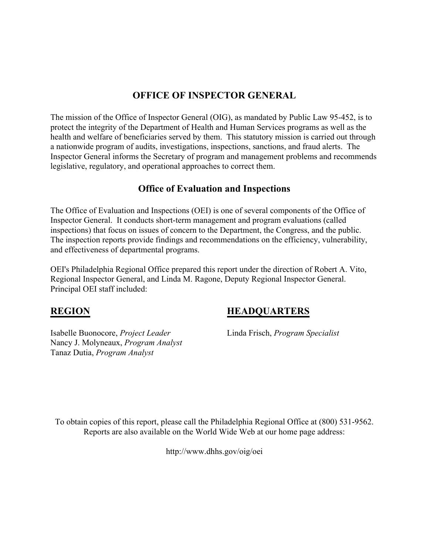### **OFFICE OF INSPECTOR GENERAL**

The mission of the Office of Inspector General (OIG), as mandated by Public Law 95-452, is to protect the integrity of the Department of Health and Human Services programs as well as the health and welfare of beneficiaries served by them. This statutory mission is carried out through a nationwide program of audits, investigations, inspections, sanctions, and fraud alerts. The Inspector General informs the Secretary of program and management problems and recommends legislative, regulatory, and operational approaches to correct them.

#### **Office of Evaluation and Inspections**

The Office of Evaluation and Inspections (OEI) is one of several components of the Office of Inspector General. It conducts short-term management and program evaluations (called inspections) that focus on issues of concern to the Department, the Congress, and the public. The inspection reports provide findings and recommendations on the efficiency, vulnerability, and effectiveness of departmental programs.

OEI's Philadelphia Regional Office prepared this report under the direction of Robert A. Vito, Regional Inspector General, and Linda M. Ragone, Deputy Regional Inspector General. Principal OEI staff included:

Isabelle Buonocore, *Project Leader* Linda Frisch, *Program Specialist* Nancy J. Molyneaux, *Program Analyst* Tanaz Dutia, *Program Analyst*

### **REGION HEADQUARTERS**

To obtain copies of this report, please call the Philadelphia Regional Office at (800) 531-9562. Reports are also available on the World Wide Web at our home page address:

http://www.dhhs.gov/oig/oei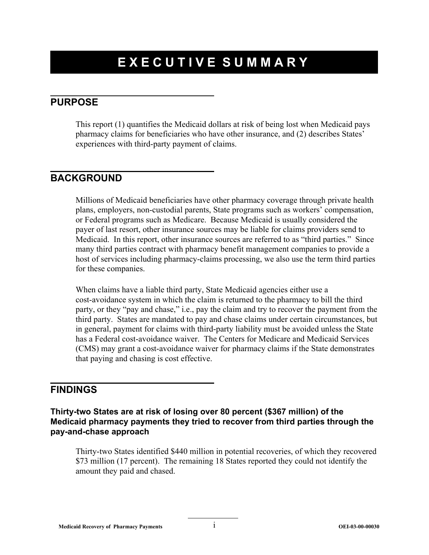## **EXECUTIVE SUMMARY**

#### **PURPOSE**

This report (1) quantifies the Medicaid dollars at risk of being lost when Medicaid pays pharmacy claims for beneficiaries who have other insurance, and (2) describes States' experiences with third-party payment of claims.

### **BACKGROUND**

Millions of Medicaid beneficiaries have other pharmacy coverage through private health plans, employers, non-custodial parents, State programs such as workers' compensation, or Federal programs such as Medicare. Because Medicaid is usually considered the payer of last resort, other insurance sources may be liable for claims providers send to Medicaid. In this report, other insurance sources are referred to as "third parties." Since many third parties contract with pharmacy benefit management companies to provide a host of services including pharmacy-claims processing, we also use the term third parties for these companies.

When claims have a liable third party, State Medicaid agencies either use a cost-avoidance system in which the claim is returned to the pharmacy to bill the third party, or they "pay and chase," i.e., pay the claim and try to recover the payment from the third party. States are mandated to pay and chase claims under certain circumstances, but in general, payment for claims with third-party liability must be avoided unless the State has a Federal cost-avoidance waiver. The Centers for Medicare and Medicaid Services (CMS) may grant a cost-avoidance waiver for pharmacy claims if the State demonstrates that paying and chasing is cost effective.

### **FINDINGS**

**Thirty-two States are at risk of losing over 80 percent (\$367 million) of the Medicaid pharmacy payments they tried to recover from third parties through the pay-and-chase approach** 

Thirty-two States identified \$440 million in potential recoveries, of which they recovered \$73 million (17 percent). The remaining 18 States reported they could not identify the amount they paid and chased.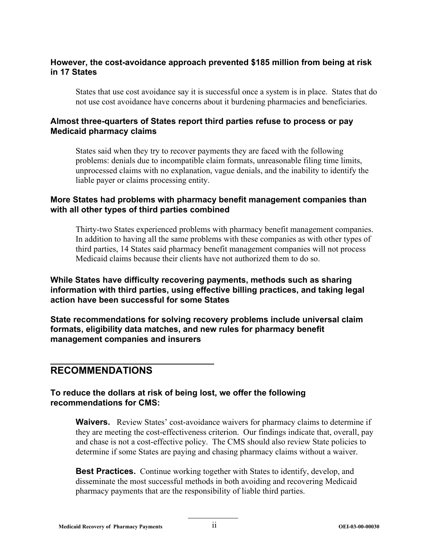#### **However, the cost-avoidance approach prevented \$185 million from being at risk in 17 States**

States that use cost avoidance say it is successful once a system is in place. States that do not use cost avoidance have concerns about it burdening pharmacies and beneficiaries.

#### **Almost three-quarters of States report third parties refuse to process or pay Medicaid pharmacy claims**

States said when they try to recover payments they are faced with the following problems: denials due to incompatible claim formats, unreasonable filing time limits, unprocessed claims with no explanation, vague denials, and the inability to identify the liable payer or claims processing entity.

#### **More States had problems with pharmacy benefit management companies than with all other types of third parties combined**

Thirty-two States experienced problems with pharmacy benefit management companies. In addition to having all the same problems with these companies as with other types of third parties, 14 States said pharmacy benefit management companies will not process Medicaid claims because their clients have not authorized them to do so.

#### **While States have difficulty recovering payments, methods such as sharing information with third parties, using effective billing practices, and taking legal action have been successful for some States**

**State recommendations for solving recovery problems include universal claim formats, eligibility data matches, and new rules for pharmacy benefit management companies and insurers** 

### **RECOMMENDATIONS**

#### **To reduce the dollars at risk of being lost, we offer the following recommendations for CMS:**

**Waivers.** Review States' cost-avoidance waivers for pharmacy claims to determine if they are meeting the cost-effectiveness criterion. Our findings indicate that, overall, pay and chase is not a cost-effective policy. The CMS should also review State policies to determine if some States are paying and chasing pharmacy claims without a waiver.

**Best Practices.** Continue working together with States to identify, develop, and disseminate the most successful methods in both avoiding and recovering Medicaid pharmacy payments that are the responsibility of liable third parties.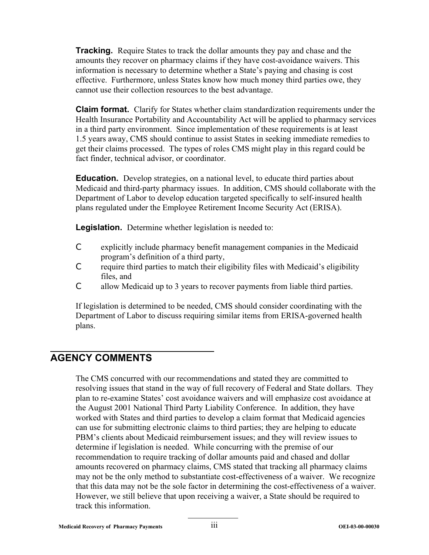**Tracking.** Require States to track the dollar amounts they pay and chase and the amounts they recover on pharmacy claims if they have cost-avoidance waivers. This information is necessary to determine whether a State's paying and chasing is cost effective. Furthermore, unless States know how much money third parties owe, they cannot use their collection resources to the best advantage.

**Claim format.** Clarify for States whether claim standardization requirements under the Health Insurance Portability and Accountability Act will be applied to pharmacy services in a third party environment. Since implementation of these requirements is at least 1.5 years away, CMS should continue to assist States in seeking immediate remedies to get their claims processed. The types of roles CMS might play in this regard could be fact finder, technical advisor, or coordinator.

**Education.** Develop strategies, on a national level, to educate third parties about Medicaid and third-party pharmacy issues. In addition, CMS should collaborate with the Department of Labor to develop education targeted specifically to self-insured health plans regulated under the Employee Retirement Income Security Act (ERISA).

**Legislation.** Determine whether legislation is needed to:

- C explicitly include pharmacy benefit management companies in the Medicaid program's definition of a third party,
- C require third parties to match their eligibility files with Medicaid's eligibility files, and
- C allow Medicaid up to 3 years to recover payments from liable third parties.

If legislation is determined to be needed, CMS should consider coordinating with the Department of Labor to discuss requiring similar items from ERISA-governed health plans.

### **AGENCY COMMENTS**

The CMS concurred with our recommendations and stated they are committed to resolving issues that stand in the way of full recovery of Federal and State dollars. They plan to re-examine States' cost avoidance waivers and will emphasize cost avoidance at the August 2001 National Third Party Liability Conference. In addition, they have worked with States and third parties to develop a claim format that Medicaid agencies can use for submitting electronic claims to third parties; they are helping to educate PBM's clients about Medicaid reimbursement issues; and they will review issues to determine if legislation is needed. While concurring with the premise of our recommendation to require tracking of dollar amounts paid and chased and dollar amounts recovered on pharmacy claims, CMS stated that tracking all pharmacy claims may not be the only method to substantiate cost-effectiveness of a waiver. We recognize that this data may not be the sole factor in determining the cost-effectiveness of a waiver. However, we still believe that upon receiving a waiver, a State should be required to track this information.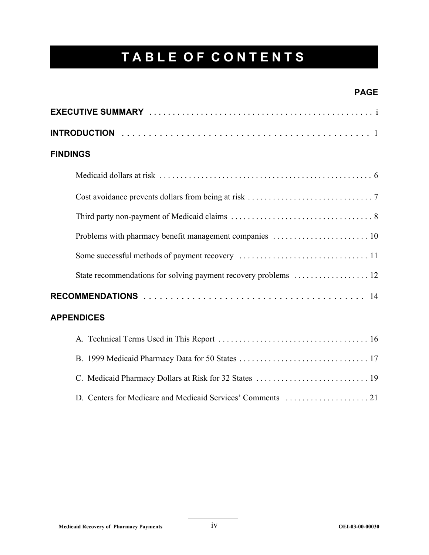## **TABLE OF CONTENTS**

#### **PAGE**

| <b>FINDINGS</b>   |
|-------------------|
|                   |
|                   |
|                   |
|                   |
|                   |
|                   |
|                   |
| <b>APPENDICES</b> |
|                   |
|                   |
|                   |
|                   |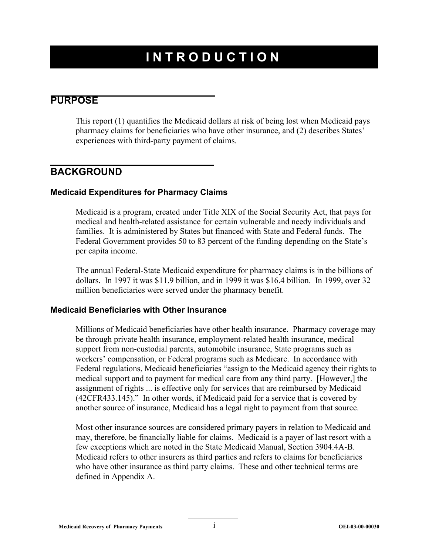## **INTRODUCTION**

#### **PURPOSE**

This report (1) quantifies the Medicaid dollars at risk of being lost when Medicaid pays pharmacy claims for beneficiaries who have other insurance, and (2) describes States' experiences with third-party payment of claims.

#### **BACKGROUND**

#### **Medicaid Expenditures for Pharmacy Claims**

Medicaid is a program, created under Title XIX of the Social Security Act, that pays for medical and health-related assistance for certain vulnerable and needy individuals and families. It is administered by States but financed with State and Federal funds. The Federal Government provides 50 to 83 percent of the funding depending on the State's per capita income.

The annual Federal-State Medicaid expenditure for pharmacy claims is in the billions of dollars. In 1997 it was \$11.9 billion, and in 1999 it was \$16.4 billion. In 1999, over 32 million beneficiaries were served under the pharmacy benefit.

#### **Medicaid Beneficiaries with Other Insurance**

Millions of Medicaid beneficiaries have other health insurance. Pharmacy coverage may be through private health insurance, employment-related health insurance, medical support from non-custodial parents, automobile insurance, State programs such as workers' compensation, or Federal programs such as Medicare. In accordance with Federal regulations, Medicaid beneficiaries "assign to the Medicaid agency their rights to medical support and to payment for medical care from any third party. [However,] the assignment of rights ... is effective only for services that are reimbursed by Medicaid (42CFR433.145)." In other words, if Medicaid paid for a service that is covered by another source of insurance, Medicaid has a legal right to payment from that source.

Most other insurance sources are considered primary payers in relation to Medicaid and may, therefore, be financially liable for claims. Medicaid is a payer of last resort with a few exceptions which are noted in the State Medicaid Manual, Section 3904.4A-B. Medicaid refers to other insurers as third parties and refers to claims for beneficiaries who have other insurance as third party claims. These and other technical terms are defined in Appendix A.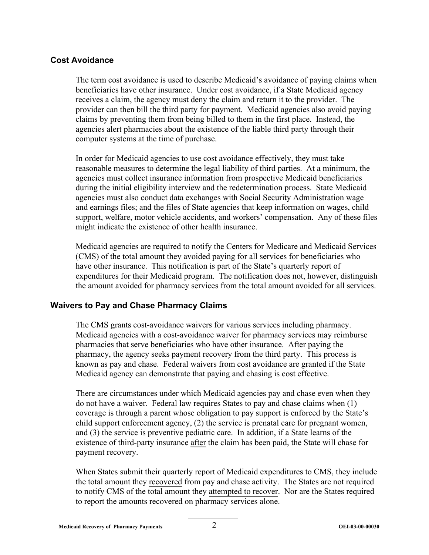#### **Cost Avoidance**

The term cost avoidance is used to describe Medicaid's avoidance of paying claims when beneficiaries have other insurance. Under cost avoidance, if a State Medicaid agency receives a claim, the agency must deny the claim and return it to the provider. The provider can then bill the third party for payment. Medicaid agencies also avoid paying claims by preventing them from being billed to them in the first place. Instead, the agencies alert pharmacies about the existence of the liable third party through their computer systems at the time of purchase.

In order for Medicaid agencies to use cost avoidance effectively, they must take reasonable measures to determine the legal liability of third parties. At a minimum, the agencies must collect insurance information from prospective Medicaid beneficiaries during the initial eligibility interview and the redetermination process. State Medicaid agencies must also conduct data exchanges with Social Security Administration wage and earnings files; and the files of State agencies that keep information on wages, child support, welfare, motor vehicle accidents, and workers' compensation. Any of these files might indicate the existence of other health insurance.

Medicaid agencies are required to notify the Centers for Medicare and Medicaid Services (CMS) of the total amount they avoided paying for all services for beneficiaries who have other insurance. This notification is part of the State's quarterly report of expenditures for their Medicaid program. The notification does not, however, distinguish the amount avoided for pharmacy services from the total amount avoided for all services.

#### **Waivers to Pay and Chase Pharmacy Claims**

The CMS grants cost-avoidance waivers for various services including pharmacy. Medicaid agencies with a cost-avoidance waiver for pharmacy services may reimburse pharmacies that serve beneficiaries who have other insurance. After paying the pharmacy, the agency seeks payment recovery from the third party. This process is known as pay and chase. Federal waivers from cost avoidance are granted if the State Medicaid agency can demonstrate that paying and chasing is cost effective.

There are circumstances under which Medicaid agencies pay and chase even when they do not have a waiver. Federal law requires States to pay and chase claims when (1) coverage is through a parent whose obligation to pay support is enforced by the State's child support enforcement agency, (2) the service is prenatal care for pregnant women, and (3) the service is preventive pediatric care. In addition, if a State learns of the existence of third-party insurance after the claim has been paid, the State will chase for payment recovery.

When States submit their quarterly report of Medicaid expenditures to CMS, they include the total amount they recovered from pay and chase activity. The States are not required to notify CMS of the total amount they attempted to recover. Nor are the States required to report the amounts recovered on pharmacy services alone.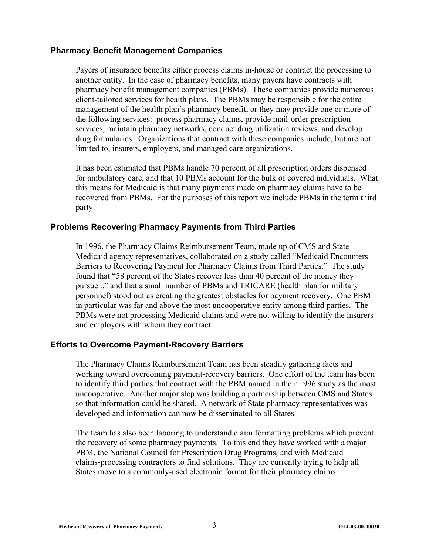#### **Pharmacy Benefit Management Companies**

Payers of insurance benefits either process claims in-house or contract the processing to another entity. In the case of pharmacy benefits, many payers have contracts with pharmacy benefit management companies (PBMs). These companies provide numerous client-tailored services for health plans. The PBMs may be responsible for the entire management of the health plan's pharmacy benefit, or they may provide one or more of the following services: process pharmacy claims, provide mail-order prescription services, maintain pharmacy networks, conduct drug utilization reviews, and develop drug formularies. Organizations that contract with these companies include, but are not limited to, insurers, employers, and managed care organizations.

It has been estimated that PBMs handle 70 percent of all prescription orders dispensed for ambulatory care, and that 10 PBMs account for the bulk of covered individuals. What this means for Medicaid is that many payments made on pharmacy claims have to be recovered from PBMs. For the purposes of this report we include PBMs in the term third party.

#### **Problems Recovering Pharmacy Payments from Third Parties**

In 1996, the Pharmacy Claims Reimbursement Team, made up of CMS and State Medicaid agency representatives, collaborated on a study called "Medicaid Encounters Barriers to Recovering Payment for Pharmacy Claims from Third Parties." The study found that "58 percent of the States recover less than 40 percent of the money they pursue..." and that a small number of PBMs and TRICARE (health plan for military personnel) stood out as creating the greatest obstacles for payment recovery. One PBM in particular was far and above the most uncooperative entity among third parties. The PBMs were not processing Medicaid claims and were not willing to identify the insurers and employers with whom they contract.

#### **Efforts to Overcome Payment-Recovery Barriers**

The Pharmacy Claims Reimbursement Team has been steadily gathering facts and working toward overcoming payment-recovery barriers. One effort of the team has been to identify third parties that contract with the PBM named in their 1996 study as the most uncooperative. Another major step was building a partnership between CMS and States so that information could be shared. A network of State pharmacy representatives was developed and information can now be disseminated to all States.

The team has also been laboring to understand claim formatting problems which prevent the recovery of some pharmacy payments. To this end they have worked with a major PBM, the National Council for Prescription Drug Programs, and with Medicaid claims-processing contractors to find solutions. They are currently trying to help all States move to a commonly-used electronic format for their pharmacy claims.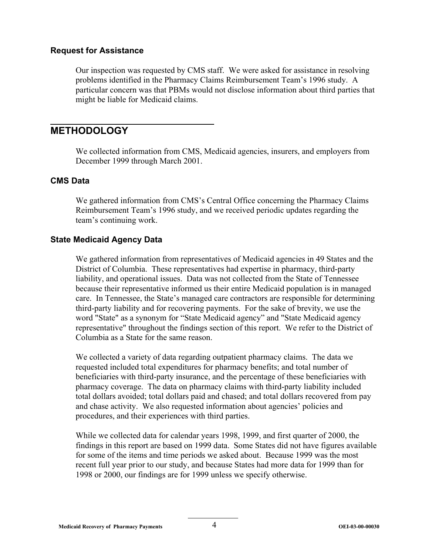#### **Request for Assistance**

Our inspection was requested by CMS staff. We were asked for assistance in resolving problems identified in the Pharmacy Claims Reimbursement Team's 1996 study. A particular concern was that PBMs would not disclose information about third parties that might be liable for Medicaid claims.

#### **METHODOLOGY**

We collected information from CMS, Medicaid agencies, insurers, and employers from December 1999 through March 2001.

#### **CMS Data**

We gathered information from CMS's Central Office concerning the Pharmacy Claims Reimbursement Team's 1996 study, and we received periodic updates regarding the team's continuing work.

#### **State Medicaid Agency Data**

We gathered information from representatives of Medicaid agencies in 49 States and the District of Columbia. These representatives had expertise in pharmacy, third-party liability, and operational issues. Data was not collected from the State of Tennessee because their representative informed us their entire Medicaid population is in managed care. In Tennessee, the State's managed care contractors are responsible for determining third-party liability and for recovering payments. For the sake of brevity, we use the word "State" as a synonym for "State Medicaid agency" and "State Medicaid agency representative" throughout the findings section of this report. We refer to the District of Columbia as a State for the same reason.

We collected a variety of data regarding outpatient pharmacy claims. The data we requested included total expenditures for pharmacy benefits; and total number of beneficiaries with third-party insurance, and the percentage of these beneficiaries with pharmacy coverage. The data on pharmacy claims with third-party liability included total dollars avoided; total dollars paid and chased; and total dollars recovered from pay and chase activity. We also requested information about agencies' policies and procedures, and their experiences with third parties.

While we collected data for calendar years 1998, 1999, and first quarter of 2000, the findings in this report are based on 1999 data. Some States did not have figures available for some of the items and time periods we asked about. Because 1999 was the most recent full year prior to our study, and because States had more data for 1999 than for 1998 or 2000, our findings are for 1999 unless we specify otherwise.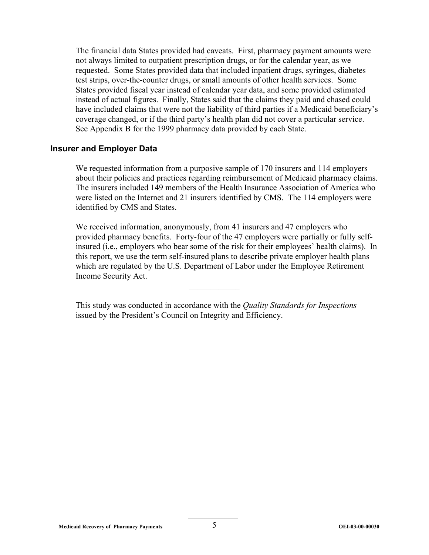The financial data States provided had caveats. First, pharmacy payment amounts were not always limited to outpatient prescription drugs, or for the calendar year, as we requested. Some States provided data that included inpatient drugs, syringes, diabetes test strips, over-the-counter drugs, or small amounts of other health services. Some States provided fiscal year instead of calendar year data, and some provided estimated instead of actual figures. Finally, States said that the claims they paid and chased could have included claims that were not the liability of third parties if a Medicaid beneficiary's coverage changed, or if the third party's health plan did not cover a particular service. See Appendix B for the 1999 pharmacy data provided by each State.

#### **Insurer and Employer Data**

We requested information from a purposive sample of 170 insurers and 114 employers about their policies and practices regarding reimbursement of Medicaid pharmacy claims. The insurers included 149 members of the Health Insurance Association of America who were listed on the Internet and 21 insurers identified by CMS. The 114 employers were identified by CMS and States.

We received information, anonymously, from 41 insurers and 47 employers who provided pharmacy benefits. Forty-four of the 47 employers were partially or fully selfinsured (i.e., employers who bear some of the risk for their employees' health claims). In this report, we use the term self-insured plans to describe private employer health plans which are regulated by the U.S. Department of Labor under the Employee Retirement Income Security Act.

This study was conducted in accordance with the *Quality Standards for Inspections*  issued by the President's Council on Integrity and Efficiency.

 $\frac{1}{2}$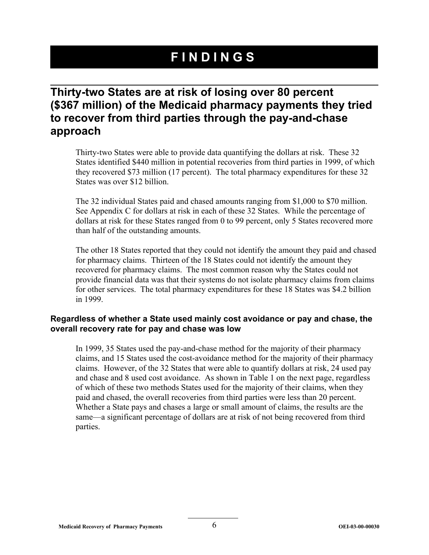## **FINDINGS**

### **Thirty-two States are at risk of losing over 80 percent (\$367 million) of the Medicaid pharmacy payments they tried to recover from third parties through the pay-and-chase approach**

Thirty-two States were able to provide data quantifying the dollars at risk. These 32 States identified \$440 million in potential recoveries from third parties in 1999, of which they recovered \$73 million (17 percent). The total pharmacy expenditures for these 32 States was over \$12 billion.

The 32 individual States paid and chased amounts ranging from \$1,000 to \$70 million. See Appendix C for dollars at risk in each of these 32 States. While the percentage of dollars at risk for these States ranged from 0 to 99 percent, only 5 States recovered more than half of the outstanding amounts.

The other 18 States reported that they could not identify the amount they paid and chased for pharmacy claims. Thirteen of the 18 States could not identify the amount they recovered for pharmacy claims. The most common reason why the States could not provide financial data was that their systems do not isolate pharmacy claims from claims for other services. The total pharmacy expenditures for these 18 States was \$4.2 billion in 1999.

#### **Regardless of whether a State used mainly cost avoidance or pay and chase, the overall recovery rate for pay and chase was low**

In 1999, 35 States used the pay-and-chase method for the majority of their pharmacy claims, and 15 States used the cost-avoidance method for the majority of their pharmacy claims. However, of the 32 States that were able to quantify dollars at risk, 24 used pay and chase and 8 used cost avoidance. As shown in Table 1 on the next page, regardless of which of these two methods States used for the majority of their claims, when they paid and chased, the overall recoveries from third parties were less than 20 percent. Whether a State pays and chases a large or small amount of claims, the results are the same—a significant percentage of dollars are at risk of not being recovered from third parties.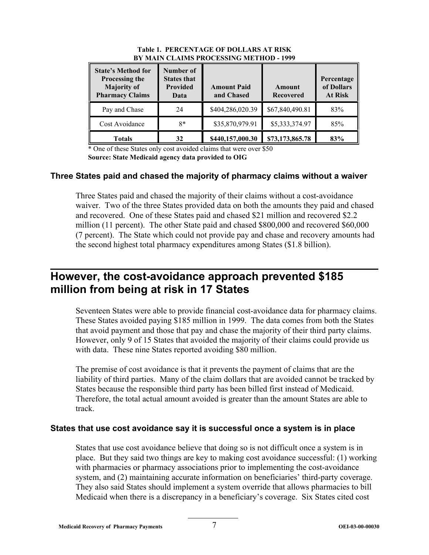| <b>State's Method for</b><br>Processing the<br><b>Majority of</b><br><b>Pharmacy Claims</b> | Number of<br><b>States that</b><br><b>Provided</b><br>Data | <b>Amount Paid</b><br>and Chased | Amount<br><b>Recovered</b> | Percentage<br>of Dollars<br><b>At Risk</b> |
|---------------------------------------------------------------------------------------------|------------------------------------------------------------|----------------------------------|----------------------------|--------------------------------------------|
| Pay and Chase                                                                               | 24                                                         | \$404,286,020.39                 | \$67,840,490.81            | 83%                                        |
| Cost Avoidance                                                                              | $8*$                                                       | \$35,870,979.91                  | \$5,333,374.97             | 85%                                        |
| Totals                                                                                      | 32                                                         | \$440,157,000.30                 | \$73,173,865.78            | 83%                                        |

#### **Table 1. PERCENTAGE OF DOLLARS AT RISK BY MAIN CLAIMS PROCESSING METHOD - 1999**

\* One of these States only cost avoided claims that were over \$50 **Source: State Medicaid agency data provided to OIG** 

#### **Three States paid and chased the majority of pharmacy claims without a waiver**

Three States paid and chased the majority of their claims without a cost-avoidance waiver. Two of the three States provided data on both the amounts they paid and chased and recovered. One of these States paid and chased \$21 million and recovered \$2.2 million (11 percent). The other State paid and chased \$800,000 and recovered \$60,000 (7 percent). The State which could not provide pay and chase and recovery amounts had the second highest total pharmacy expenditures among States (\$1.8 billion).

### **However, the cost-avoidance approach prevented \$185 million from being at risk in 17 States**

Seventeen States were able to provide financial cost-avoidance data for pharmacy claims. These States avoided paying \$185 million in 1999. The data comes from both the States that avoid payment and those that pay and chase the majority of their third party claims. However, only 9 of 15 States that avoided the majority of their claims could provide us with data. These nine States reported avoiding \$80 million.

The premise of cost avoidance is that it prevents the payment of claims that are the liability of third parties. Many of the claim dollars that are avoided cannot be tracked by States because the responsible third party has been billed first instead of Medicaid. Therefore, the total actual amount avoided is greater than the amount States are able to track.

#### **States that use cost avoidance say it is successful once a system is in place**

States that use cost avoidance believe that doing so is not difficult once a system is in place. But they said two things are key to making cost avoidance successful: (1) working with pharmacies or pharmacy associations prior to implementing the cost-avoidance system, and (2) maintaining accurate information on beneficiaries' third-party coverage. They also said States should implement a system override that allows pharmacies to bill Medicaid when there is a discrepancy in a beneficiary's coverage. Six States cited cost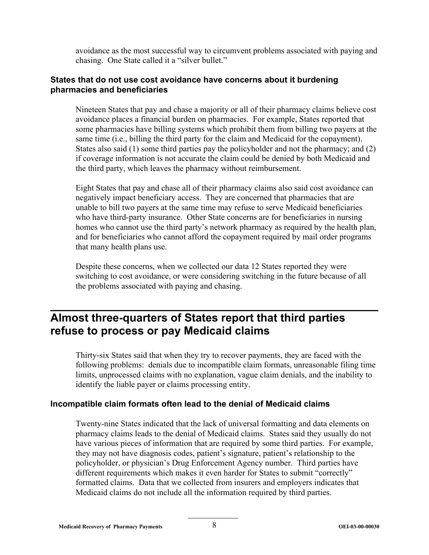avoidance as the most successful way to circumvent problems associated with paying and chasing. One State called it a "silver bullet."

#### **States that do not use cost avoidance have concerns about it burdening pharmacies and beneficiaries**

Nineteen States that pay and chase a majority or all of their pharmacy claims believe cost avoidance places a financial burden on pharmacies. For example, States reported that some pharmacies have billing systems which prohibit them from billing two payers at the same time (i.e., billing the third party for the claim and Medicaid for the copayment). States also said (1) some third parties pay the policyholder and not the pharmacy; and (2) if coverage information is not accurate the claim could be denied by both Medicaid and the third party, which leaves the pharmacy without reimbursement.

Eight States that pay and chase all of their pharmacy claims also said cost avoidance can negatively impact beneficiary access. They are concerned that pharmacies that are unable to bill two payers at the same time may refuse to serve Medicaid beneficiaries who have third-party insurance. Other State concerns are for beneficiaries in nursing homes who cannot use the third party's network pharmacy as required by the health plan, and for beneficiaries who cannot afford the copayment required by mail order programs that many health plans use.

Despite these concerns, when we collected our data 12 States reported they were switching to cost avoidance, or were considering switching in the future because of all the problems associated with paying and chasing.

## **Almost three-quarters of States report that third parties refuse to process or pay Medicaid claims**

Thirty-six States said that when they try to recover payments, they are faced with the following problems: denials due to incompatible claim formats, unreasonable filing time limits, unprocessed claims with no explanation, vague claim denials, and the inability to identify the liable payer or claims processing entity.

#### **Incompatible claim formats often lead to the denial of Medicaid claims**

Twenty-nine States indicated that the lack of universal formatting and data elements on pharmacy claims leads to the denial of Medicaid claims. States said they usually do not have various pieces of information that are required by some third parties. For example, they may not have diagnosis codes, patient's signature, patient's relationship to the policyholder, or physician's Drug Enforcement Agency number. Third parties have different requirements which makes it even harder for States to submit "correctly" formatted claims. Data that we collected from insurers and employers indicates that Medicaid claims do not include all the information required by third parties.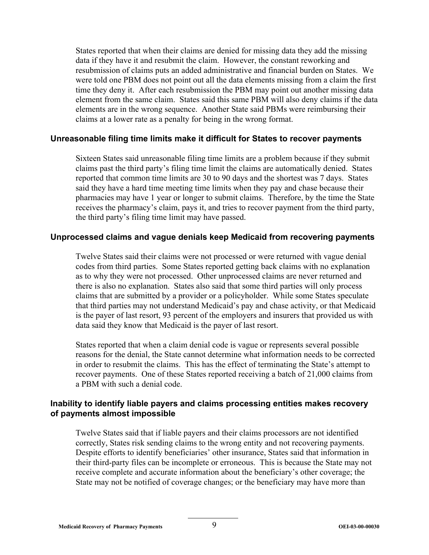States reported that when their claims are denied for missing data they add the missing data if they have it and resubmit the claim. However, the constant reworking and resubmission of claims puts an added administrative and financial burden on States. We were told one PBM does not point out all the data elements missing from a claim the first time they deny it. After each resubmission the PBM may point out another missing data element from the same claim. States said this same PBM will also deny claims if the data elements are in the wrong sequence. Another State said PBMs were reimbursing their claims at a lower rate as a penalty for being in the wrong format.

#### **Unreasonable filing time limits make it difficult for States to recover payments**

Sixteen States said unreasonable filing time limits are a problem because if they submit claims past the third party's filing time limit the claims are automatically denied. States reported that common time limits are 30 to 90 days and the shortest was 7 days. States said they have a hard time meeting time limits when they pay and chase because their pharmacies may have 1 year or longer to submit claims. Therefore, by the time the State receives the pharmacy's claim, pays it, and tries to recover payment from the third party, the third party's filing time limit may have passed.

#### **Unprocessed claims and vague denials keep Medicaid from recovering payments**

Twelve States said their claims were not processed or were returned with vague denial codes from third parties. Some States reported getting back claims with no explanation as to why they were not processed. Other unprocessed claims are never returned and there is also no explanation. States also said that some third parties will only process claims that are submitted by a provider or a policyholder. While some States speculate that third parties may not understand Medicaid's pay and chase activity, or that Medicaid is the payer of last resort, 93 percent of the employers and insurers that provided us with data said they know that Medicaid is the payer of last resort.

States reported that when a claim denial code is vague or represents several possible reasons for the denial, the State cannot determine what information needs to be corrected in order to resubmit the claims. This has the effect of terminating the State's attempt to recover payments. One of these States reported receiving a batch of 21,000 claims from a PBM with such a denial code.

#### **Inability to identify liable payers and claims processing entities makes recovery of payments almost impossible**

Twelve States said that if liable payers and their claims processors are not identified correctly, States risk sending claims to the wrong entity and not recovering payments. Despite efforts to identify beneficiaries' other insurance, States said that information in their third-party files can be incomplete or erroneous. This is because the State may not receive complete and accurate information about the beneficiary's other coverage; the State may not be notified of coverage changes; or the beneficiary may have more than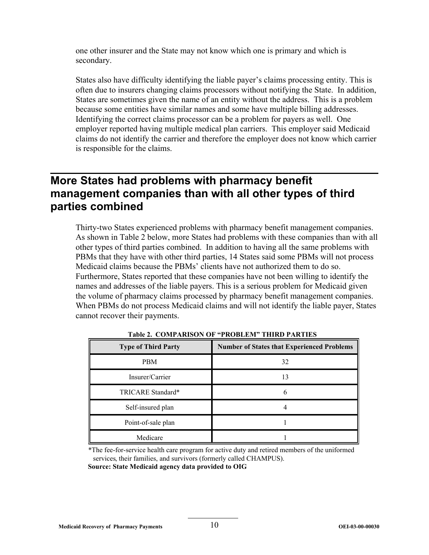one other insurer and the State may not know which one is primary and which is secondary.

States also have difficulty identifying the liable payer's claims processing entity. This is often due to insurers changing claims processors without notifying the State. In addition, States are sometimes given the name of an entity without the address. This is a problem because some entities have similar names and some have multiple billing addresses. Identifying the correct claims processor can be a problem for payers as well. One employer reported having multiple medical plan carriers. This employer said Medicaid claims do not identify the carrier and therefore the employer does not know which carrier is responsible for the claims.

### **More States had problems with pharmacy benefit management companies than with all other types of third parties combined**

Thirty-two States experienced problems with pharmacy benefit management companies. As shown in Table 2 below, more States had problems with these companies than with all other types of third parties combined. In addition to having all the same problems with PBMs that they have with other third parties, 14 States said some PBMs will not process Medicaid claims because the PBMs' clients have not authorized them to do so. Furthermore, States reported that these companies have not been willing to identify the names and addresses of the liable payers. This is a serious problem for Medicaid given the volume of pharmacy claims processed by pharmacy benefit management companies. When PBMs do not process Medicaid claims and will not identify the liable payer, States cannot recover their payments.

| <b>Type of Third Party</b> | <b>Number of States that Experienced Problems</b> |
|----------------------------|---------------------------------------------------|
| PBM                        | 32                                                |
| Insurer/Carrier            | 13                                                |
| TRICARE Standard*          | b                                                 |
| Self-insured plan          |                                                   |
| Point-of-sale plan         |                                                   |
| Medicare                   |                                                   |

**Table 2. COMPARISON OF "PROBLEM" THIRD PARTIES** 

\*The fee-for-service health care program for active duty and retired members of the uniformed services, their families, and survivors (formerly called CHAMPUS). **Source: State Medicaid agency data provided to OIG**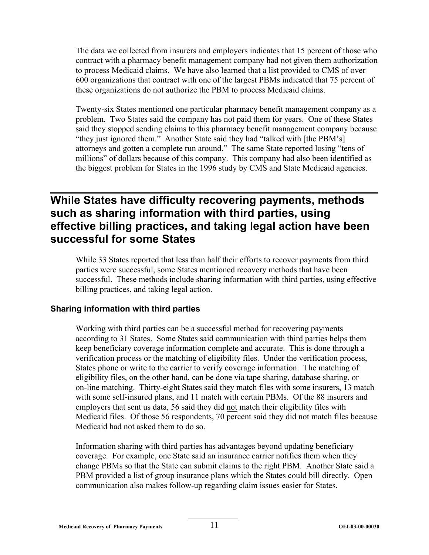The data we collected from insurers and employers indicates that 15 percent of those who contract with a pharmacy benefit management company had not given them authorization to process Medicaid claims. We have also learned that a list provided to CMS of over 600 organizations that contract with one of the largest PBMs indicated that 75 percent of these organizations do not authorize the PBM to process Medicaid claims.

Twenty-six States mentioned one particular pharmacy benefit management company as a problem. Two States said the company has not paid them for years. One of these States said they stopped sending claims to this pharmacy benefit management company because "they just ignored them." Another State said they had "talked with [the PBM's] attorneys and gotten a complete run around." The same State reported losing "tens of millions" of dollars because of this company. This company had also been identified as the biggest problem for States in the 1996 study by CMS and State Medicaid agencies.

### **While States have difficulty recovering payments, methods such as sharing information with third parties, using effective billing practices, and taking legal action have been successful for some States**

While 33 States reported that less than half their efforts to recover payments from third parties were successful, some States mentioned recovery methods that have been successful. These methods include sharing information with third parties, using effective billing practices, and taking legal action.

#### **Sharing information with third parties**

Working with third parties can be a successful method for recovering payments according to 31 States. Some States said communication with third parties helps them keep beneficiary coverage information complete and accurate. This is done through a verification process or the matching of eligibility files. Under the verification process, States phone or write to the carrier to verify coverage information. The matching of eligibility files, on the other hand, can be done via tape sharing, database sharing, or on-line matching. Thirty-eight States said they match files with some insurers, 13 match with some self-insured plans, and 11 match with certain PBMs. Of the 88 insurers and employers that sent us data, 56 said they did not match their eligibility files with Medicaid files. Of those 56 respondents, 70 percent said they did not match files because Medicaid had not asked them to do so.

Information sharing with third parties has advantages beyond updating beneficiary coverage. For example, one State said an insurance carrier notifies them when they change PBMs so that the State can submit claims to the right PBM. Another State said a PBM provided a list of group insurance plans which the States could bill directly. Open communication also makes follow-up regarding claim issues easier for States.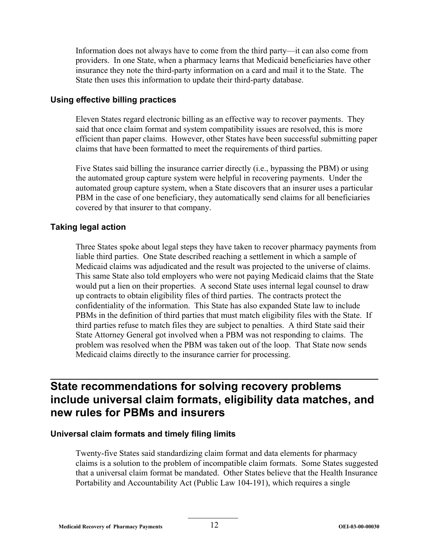Information does not always have to come from the third party—it can also come from providers. In one State, when a pharmacy learns that Medicaid beneficiaries have other insurance they note the third-party information on a card and mail it to the State. The State then uses this information to update their third-party database.

#### **Using effective billing practices**

Eleven States regard electronic billing as an effective way to recover payments. They said that once claim format and system compatibility issues are resolved, this is more efficient than paper claims. However, other States have been successful submitting paper claims that have been formatted to meet the requirements of third parties.

Five States said billing the insurance carrier directly (i.e., bypassing the PBM) or using the automated group capture system were helpful in recovering payments. Under the automated group capture system, when a State discovers that an insurer uses a particular PBM in the case of one beneficiary, they automatically send claims for all beneficiaries covered by that insurer to that company.

#### **Taking legal action**

Three States spoke about legal steps they have taken to recover pharmacy payments from liable third parties. One State described reaching a settlement in which a sample of Medicaid claims was adjudicated and the result was projected to the universe of claims. This same State also told employers who were not paying Medicaid claims that the State would put a lien on their properties. A second State uses internal legal counsel to draw up contracts to obtain eligibility files of third parties. The contracts protect the confidentiality of the information. This State has also expanded State law to include PBMs in the definition of third parties that must match eligibility files with the State. If third parties refuse to match files they are subject to penalties. A third State said their State Attorney General got involved when a PBM was not responding to claims. The problem was resolved when the PBM was taken out of the loop. That State now sends Medicaid claims directly to the insurance carrier for processing.

### **State recommendations for solving recovery problems include universal claim formats, eligibility data matches, and new rules for PBMs and insurers**

#### **Universal claim formats and timely filing limits**

Twenty-five States said standardizing claim format and data elements for pharmacy claims is a solution to the problem of incompatible claim formats. Some States suggested that a universal claim format be mandated. Other States believe that the Health Insurance Portability and Accountability Act (Public Law 104-191), which requires a single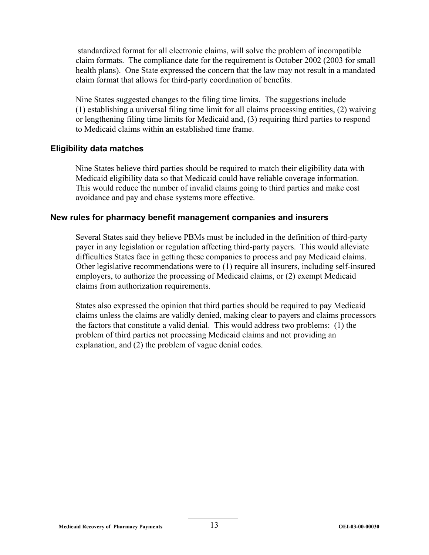standardized format for all electronic claims, will solve the problem of incompatible claim formats. The compliance date for the requirement is October 2002 (2003 for small health plans). One State expressed the concern that the law may not result in a mandated claim format that allows for third-party coordination of benefits.

Nine States suggested changes to the filing time limits. The suggestions include (1) establishing a universal filing time limit for all claims processing entities, (2) waiving or lengthening filing time limits for Medicaid and, (3) requiring third parties to respond to Medicaid claims within an established time frame.

#### **Eligibility data matches**

Nine States believe third parties should be required to match their eligibility data with Medicaid eligibility data so that Medicaid could have reliable coverage information. This would reduce the number of invalid claims going to third parties and make cost avoidance and pay and chase systems more effective.

#### **New rules for pharmacy benefit management companies and insurers**

Several States said they believe PBMs must be included in the definition of third-party payer in any legislation or regulation affecting third-party payers. This would alleviate difficulties States face in getting these companies to process and pay Medicaid claims. Other legislative recommendations were to (1) require all insurers, including self-insured employers, to authorize the processing of Medicaid claims, or (2) exempt Medicaid claims from authorization requirements.

States also expressed the opinion that third parties should be required to pay Medicaid claims unless the claims are validly denied, making clear to payers and claims processors the factors that constitute a valid denial. This would address two problems: (1) the problem of third parties not processing Medicaid claims and not providing an explanation, and (2) the problem of vague denial codes.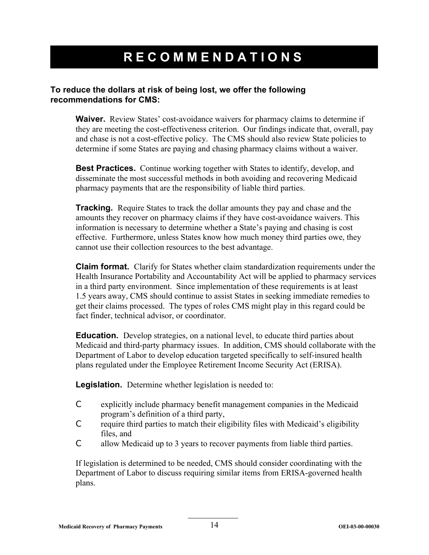## **RECOMMENDATIONS**

#### **To reduce the dollars at risk of being lost, we offer the following recommendations for CMS:**

**Waiver.** Review States' cost-avoidance waivers for pharmacy claims to determine if they are meeting the cost-effectiveness criterion. Our findings indicate that, overall, pay and chase is not a cost-effective policy. The CMS should also review State policies to determine if some States are paying and chasing pharmacy claims without a waiver.

**Best Practices.** Continue working together with States to identify, develop, and disseminate the most successful methods in both avoiding and recovering Medicaid pharmacy payments that are the responsibility of liable third parties.

**Tracking.** Require States to track the dollar amounts they pay and chase and the amounts they recover on pharmacy claims if they have cost-avoidance waivers. This information is necessary to determine whether a State's paying and chasing is cost effective. Furthermore, unless States know how much money third parties owe, they cannot use their collection resources to the best advantage.

**Claim format.** Clarify for States whether claim standardization requirements under the Health Insurance Portability and Accountability Act will be applied to pharmacy services in a third party environment. Since implementation of these requirements is at least 1.5 years away, CMS should continue to assist States in seeking immediate remedies to get their claims processed. The types of roles CMS might play in this regard could be fact finder, technical advisor, or coordinator.

**Education.** Develop strategies, on a national level, to educate third parties about Medicaid and third-party pharmacy issues. In addition, CMS should collaborate with the Department of Labor to develop education targeted specifically to self-insured health plans regulated under the Employee Retirement Income Security Act (ERISA).

**Legislation.** Determine whether legislation is needed to:

- C explicitly include pharmacy benefit management companies in the Medicaid program's definition of a third party,
- C require third parties to match their eligibility files with Medicaid's eligibility files, and
- C allow Medicaid up to 3 years to recover payments from liable third parties.

If legislation is determined to be needed, CMS should consider coordinating with the Department of Labor to discuss requiring similar items from ERISA-governed health plans.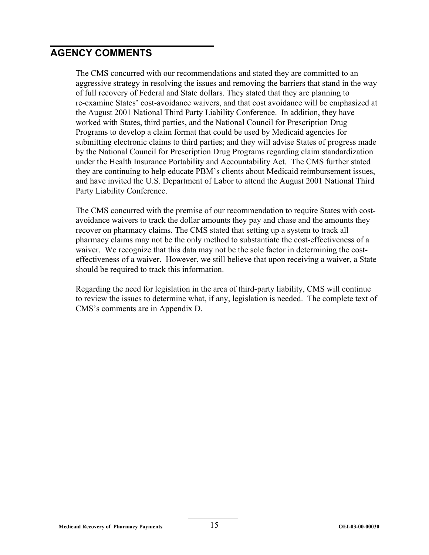#### **AGENCY COMMENTS**

The CMS concurred with our recommendations and stated they are committed to an aggressive strategy in resolving the issues and removing the barriers that stand in the way of full recovery of Federal and State dollars. They stated that they are planning to re-examine States' cost-avoidance waivers, and that cost avoidance will be emphasized at the August 2001 National Third Party Liability Conference. In addition, they have worked with States, third parties, and the National Council for Prescription Drug Programs to develop a claim format that could be used by Medicaid agencies for submitting electronic claims to third parties; and they will advise States of progress made by the National Council for Prescription Drug Programs regarding claim standardization under the Health Insurance Portability and Accountability Act. The CMS further stated they are continuing to help educate PBM's clients about Medicaid reimbursement issues, and have invited the U.S. Department of Labor to attend the August 2001 National Third Party Liability Conference.

The CMS concurred with the premise of our recommendation to require States with costavoidance waivers to track the dollar amounts they pay and chase and the amounts they recover on pharmacy claims. The CMS stated that setting up a system to track all pharmacy claims may not be the only method to substantiate the cost-effectiveness of a waiver. We recognize that this data may not be the sole factor in determining the costeffectiveness of a waiver. However, we still believe that upon receiving a waiver, a State should be required to track this information.

Regarding the need for legislation in the area of third-party liability, CMS will continue to review the issues to determine what, if any, legislation is needed. The complete text of CMS's comments are in Appendix D.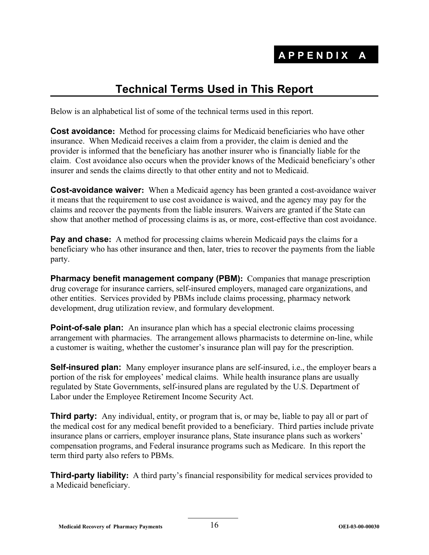## **Technical Terms Used in This Report**

Below is an alphabetical list of some of the technical terms used in this report.

**Cost avoidance:** Method for processing claims for Medicaid beneficiaries who have other insurance. When Medicaid receives a claim from a provider, the claim is denied and the provider is informed that the beneficiary has another insurer who is financially liable for the claim. Cost avoidance also occurs when the provider knows of the Medicaid beneficiary's other insurer and sends the claims directly to that other entity and not to Medicaid.

**Cost-avoidance waiver:** When a Medicaid agency has been granted a cost-avoidance waiver it means that the requirement to use cost avoidance is waived, and the agency may pay for the claims and recover the payments from the liable insurers. Waivers are granted if the State can show that another method of processing claims is as, or more, cost-effective than cost avoidance.

**Pay and chase:** A method for processing claims wherein Medicaid pays the claims for a beneficiary who has other insurance and then, later, tries to recover the payments from the liable party.

**Pharmacy benefit management company (PBM):** Companies that manage prescription drug coverage for insurance carriers, self-insured employers, managed care organizations, and other entities. Services provided by PBMs include claims processing, pharmacy network development, drug utilization review, and formulary development.

**Point-of-sale plan:** An insurance plan which has a special electronic claims processing arrangement with pharmacies. The arrangement allows pharmacists to determine on-line, while a customer is waiting, whether the customer's insurance plan will pay for the prescription.

**Self-insured plan:** Many employer insurance plans are self-insured, i.e., the employer bears a portion of the risk for employees' medical claims. While health insurance plans are usually regulated by State Governments, self-insured plans are regulated by the U.S. Department of Labor under the Employee Retirement Income Security Act.

**Third party:** Any individual, entity, or program that is, or may be, liable to pay all or part of the medical cost for any medical benefit provided to a beneficiary. Third parties include private insurance plans or carriers, employer insurance plans, State insurance plans such as workers' compensation programs, and Federal insurance programs such as Medicare. In this report the term third party also refers to PBMs.

**Third-party liability:** A third party's financial responsibility for medical services provided to a Medicaid beneficiary.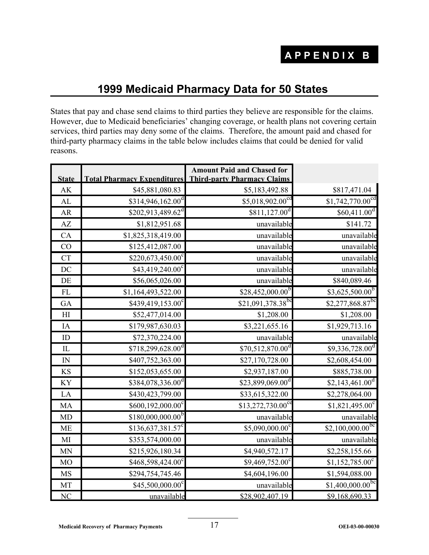## **1999 Medicaid Pharmacy Data for 50 States**

States that pay and chase send claims to third parties they believe are responsible for the claims. However, due to Medicaid beneficiaries' changing coverage, or health plans not covering certain services, third parties may deny some of the claims. Therefore, the amount paid and chased for third-party pharmacy claims in the table below includes claims that could be denied for valid reasons.

|                |                                                | <b>Amount Paid and Chased for</b>  |                               |
|----------------|------------------------------------------------|------------------------------------|-------------------------------|
| <b>State</b>   | <b>Total Pharmacy Expenditures</b>             | <b>Third-party Pharmacy Claims</b> |                               |
| AK             | \$45,881,080.83                                | \$5,183,492.88                     | \$817,471.04                  |
| AL             | \$314,946,162.00 <sup>d</sup>                  | \$5,018,902.00 <sup>cd</sup>       | \$1,742,770.00 <sup>cd</sup>  |
| AR             | $$202,913,489.62^d$                            | $$811,127.00^d$                    | \$60,411.00 <sup>d</sup>      |
| AZ             | \$1,812,951.68                                 | unavailable                        | \$141.72                      |
| CA             | \$1,825,318,419.00                             | unavailable                        | unavailable                   |
| CO             | \$125,412,087.00                               | unavailable                        | unavailable                   |
| <b>CT</b>      | \$220,673,450.00 $\overline{0}^{\overline{c}}$ | unavailable                        | unavailable                   |
| DC             | $$43,419,240.00^{\circ}$                       | unavailable                        | unavailable                   |
| DE             | \$56,065,026.00                                | unavailable                        | \$840,089.46                  |
| FL             | \$1,164,493,522.00                             | $$28,452,000.00^{\overline{b}}$$   | $$3,625,500.00^{b}$           |
| GA             | \$439,419,153.00°                              | \$21,091,378.38 <sup>bc</sup>      | \$2,277,868.87bc              |
| H <sub>I</sub> | \$52,477,014.00                                | \$1,208.00                         | \$1,208.00                    |
| IA             | \$179,987,630.03                               | \$3,221,655.16                     | \$1,929,713.16                |
| ${\rm ID}$     | \$72,370,224.00                                | unavailable                        | unavailable                   |
| $\hbox{I\!L}$  | $$718,299,628.00$ <sup>d</sup>                 | $$70,512,870.00$ <sup>d</sup>      | $$9,336,728.00^d$             |
| ${\rm IN}$     | \$407,752,363.00                               | \$27,170,728.00                    | \$2,608,454.00                |
| <b>KS</b>      | \$152,053,655.00                               | \$2,937,187.00                     | \$885,738.00                  |
| KY             | \$384,078,336.00 <sup>d</sup>                  | \$23,899,069.00 <sup>d</sup>       | \$2,143,461.00 <sup>d</sup>   |
| LA             | \$430,423,799.00                               | \$33,615,322.00                    | \$2,278,064.00                |
| MA             | $$600,192,000.00^c$                            | $$13,272,730.00^\text{ce}$         | $$1,821,495.00^{\circ}$       |
| <b>MD</b>      | $$180,000,000.00^{b}$                          | unavailable                        | unavailable                   |
| <b>ME</b>      | $$136,637,381.57$ <sup>c</sup>                 | \$5,090,000.00°                    | $$2,100,000.00$ <sup>bc</sup> |
| MI             | \$353,574,000.00                               | unavailable                        | unavailable                   |
| <b>MN</b>      | \$215,926,180.34                               | \$4,940,572.17                     | \$2,258,155.66                |
| M <sub>O</sub> | \$468,598,424.00 <sup>c</sup>                  | $$9,469,752.00^{\circ}$            | $$1,152,785.00$ <sup>c</sup>  |
| <b>MS</b>      | \$294,754,745.46                               | \$4,604,196.00                     | \$1,594,088.00                |
| MT             | $$45,500,000.00^{\circ}$                       | unavailable                        | $$1,400,000.00$ <sup>bc</sup> |
| NC             | unavailable                                    | \$28,902,407.19                    | \$9,168,690.33                |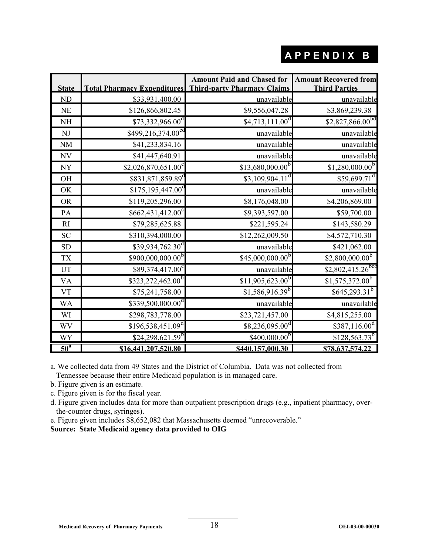## **APPENDIX B**

| <b>State</b>               |                                | <b>Amount Paid and Chased for</b><br><b>Total Pharmacy Expenditures</b> Third-party Pharmacy Claims | <b>Amount Recovered from</b><br><b>Third Parties</b> |
|----------------------------|--------------------------------|-----------------------------------------------------------------------------------------------------|------------------------------------------------------|
| <b>ND</b>                  | \$33,931,400.00                | unavailable                                                                                         | unavailable                                          |
| <b>NE</b>                  | \$126,866,802.45               | \$9,556,047.28                                                                                      | \$3,869,239.38                                       |
| <b>NH</b>                  | $$73,332,966.00^{\circ}$       | \$4,713,111.00 <sup>d</sup>                                                                         | \$2,827,866.00 <sup>bd</sup>                         |
| NJ                         | \$499,216,374.00 <sup>cc</sup> | unavailable                                                                                         | unavailable                                          |
| <b>NM</b>                  | \$41,233,834.16                | unavailable                                                                                         | unavailable                                          |
| NV                         | \$41,447,640.91                | unavailable                                                                                         | unavailable                                          |
| <b>NY</b>                  | $$2,026,870,651.00^{\circ}$    | $$13,680,000.00$ <sup>b</sup>                                                                       | $$1,280,000.00$ <sup>b</sup>                         |
| <b>OH</b>                  | \$831,871,859.89 <sup>°</sup>  | \$3,109,904.11 <sup>d</sup>                                                                         | $$59,699.71$ <sup>d</sup>                            |
| OK                         | $$175,195,447.00$ <sup>o</sup> | unavailable                                                                                         | unavailable                                          |
| <b>OR</b>                  | \$119,205,296.00               | \$8,176,048.00                                                                                      | \$4,206,869.00                                       |
| PA                         | $$662,431,412.00^{\circ}$      | \$9,393,597.00                                                                                      | \$59,700.00                                          |
| RI                         | \$79,285,625.88                | \$221,595.24                                                                                        | \$143,580.29                                         |
| <b>SC</b>                  | \$310,394,000.00               | \$12,262,009.50                                                                                     | \$4,572,710.30                                       |
| <b>SD</b>                  | $$39,934,762.30$ <sup>d</sup>  | unavailable                                                                                         | \$421,062.00                                         |
| <b>TX</b>                  | \$900,000,000.00 <sup>b</sup>  | $$45,000,000.00^{b}$                                                                                | $$2,800,000.00^{b}$                                  |
| UT                         | $$89,374,417.00^{\circ}$       | unavailable                                                                                         | $$2,802,415.26$ <sup>bc</sup>                        |
| <b>VA</b>                  | \$323,272,462.00 <sup>b</sup>  | $$11,905,623.00^b$                                                                                  | $$1,575,372.00$ <sup>b</sup>                         |
| <b>VT</b>                  | \$75,241,758.00                | $$1,586,916.39^b$                                                                                   | $$645,293.31^{b}$                                    |
| <b>WA</b>                  | $$339,500,000.00^d$            | unavailable                                                                                         | unavailable                                          |
| WI                         | \$298,783,778.00               | \$23,721,457.00                                                                                     | \$4,815,255.00                                       |
| WV                         | \$196,538,451.09 <sup>d</sup>  | $$8,236,095.00^d$                                                                                   | $$387,116.00^d$                                      |
| <b>WY</b>                  | $$24,298,621.59^b$             | $$400,000.00^{b}$                                                                                   | $$128,563.73^b$                                      |
| $\overline{50}^{\text{a}}$ | \$16,441,207,520.80            | \$440,157,000.30                                                                                    | \$78,637,574.22                                      |

a. We collected data from 49 States and the District of Columbia. Data was not collected from Tennessee because their entire Medicaid population is in managed care.

- b. Figure given is an estimate.
- c. Figure given is for the fiscal year.
- d. Figure given includes data for more than outpatient prescription drugs (e.g., inpatient pharmacy, overthe-counter drugs, syringes).
- e. Figure given includes \$8,652,082 that Massachusetts deemed "unrecoverable."

**Source: State Medicaid agency data provided to OIG**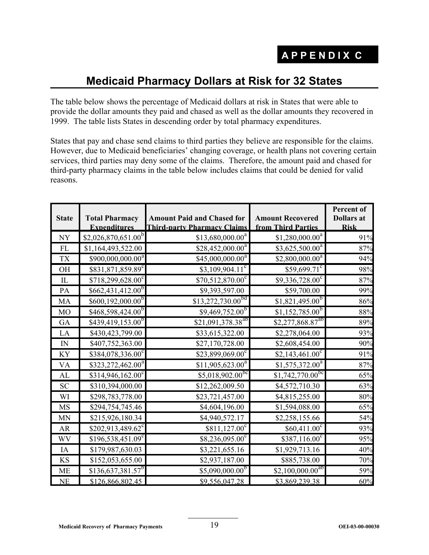## **Medicaid Pharmacy Dollars at Risk for 32 States**

The table below shows the percentage of Medicaid dollars at risk in States that were able to provide the dollar amounts they paid and chased as well as the dollar amounts they recovered in 1999. The table lists States in descending order by total pharmacy expenditures.

States that pay and chase send claims to third parties they believe are responsible for the claims. However, due to Medicaid beneficiaries' changing coverage, or health plans not covering certain services, third parties may deny some of the claims. Therefore, the amount paid and chased for third-party pharmacy claims in the table below includes claims that could be denied for valid reasons.

|                            |                                  |                                    |                               | Percent of        |
|----------------------------|----------------------------------|------------------------------------|-------------------------------|-------------------|
| <b>State</b>               | <b>Total Pharmacy</b>            | <b>Amount Paid and Chased for</b>  | <b>Amount Recovered</b>       | <b>Dollars</b> at |
|                            | <b>Expenditures</b>              | <b>Third-party Pharmacy Claims</b> | from Third Parties            | <b>Risk</b>       |
| $\ensuremath{\text{NY}}$   | $$2,026,870,651.00$ <sup>b</sup> | \$13,680,000.00 <sup>a</sup>       | $$1,280,000.00$ <sup>a</sup>  | 91%               |
| $\mathop{\rm FL}\nolimits$ | \$1,164,493,522.00               | $$28,452,000.00^a$                 | $$3,625,500.00^a$             | 87%               |
| ${\rm T}{\rm X}$           | $$900,000,000.00^a$              | $$45,000,000.00^a$                 | $$2,800,000.00^a$             | 94%               |
| $\rm OH$                   | \$831,871,859.89 <sup>c</sup>    | $$3,109,904.11^{\circ}$            | $$59,699.71$ <sup>c</sup>     | 98%               |
| IL                         | $$718,299,628.00^{\circ}$        | $$70,512,870.00^{\circ}$           | \$9,336,728.00°               | 87%               |
| PA                         | $$662,431,412.00^b$              | \$9,393,597.00                     | \$59,700.00                   | 99%               |
| MA                         | $$600,192,000.00$ <sup>b</sup>   | $$13,272,730.00^{6d}$              | $$1,821,495.00^{b}$           | 86%               |
| <b>MO</b>                  | $$468,598,424.00^b$              | $$9,469,752.00^{b}$                | $$1,152,785.00$ <sup>b</sup>  | 88%               |
| GA                         | $$439,419,153.00^b$              | \$21,091,378.38 <sup>ab</sup>      | $$2,277,868.87^{ab}$          | 89%               |
| LA                         | \$430,423,799.00                 | \$33,615,322.00                    | \$2,278,064.00                | 93%               |
| ${\rm IN}$                 | \$407,752,363.00                 | \$27,170,728.00                    | \$2,608,454.00                | 90%               |
| KY                         | \$384,078,336.00°                | $$23,899,069.00^{\circ}$           | $$2,143,461.00^{\circ}$       | 91%               |
| <b>VA</b>                  | $$323,272,462.00^a$              | $$11,905,623.00^a$                 | $$1,575,372.00^a$             | 87%               |
| AL                         | $$314,946,162.00^{\circ}$        | $$5,018,902.00^{bc}$               | $$1,742,770.00$ <sup>bc</sup> | 65%               |
| <b>SC</b>                  | \$310,394,000.00                 | \$12,262,009.50                    | \$4,572,710.30                | 63%               |
| WI                         | \$298,783,778.00                 | \$23,721,457.00                    | \$4,815,255.00                | 80%               |
| <b>MS</b>                  | \$294,754,745.46                 | \$4,604,196.00                     | \$1,594,088.00                | 65%               |
| <b>MN</b>                  | \$215,926,180.34                 | \$4,940,572.17                     | \$2,258,155.66                | 54%               |
| ${\sf AR}$                 | $$202,913,489.62^{\circ}$        | $$811,127.00^c$                    | $$60,411.00^\circ$$           | 93%               |
| <b>WV</b>                  | $$196,538,451.09^{\circ}$        | \$8,236,095.00°                    | $$387,116.00^{\circ}$         | 95%               |
| $\rm IA$                   | \$179,987,630.03                 | \$3,221,655.16                     | \$1,929,713.16                | 40%               |
| KS                         | \$152,053,655.00                 | \$2,937,187.00                     | \$885,738.00                  | 70%               |
| <b>ME</b>                  | $$136,637,381.57^b$              | $$5,090,000.00^{b}$                | $$2,100,000.00^{ab}$          | 59%               |
| <b>NE</b>                  | \$126,866,802.45                 | \$9,556,047.28                     | \$3,869,239.38                | 60%               |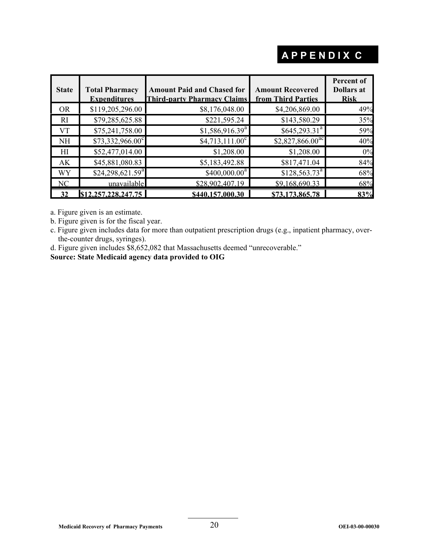## **APPENDIX C**

| <b>State</b>   | <b>Total Pharmacy</b><br><b>Expenditures</b> | <b>Amount Paid and Chased for</b><br><b>Third-party Pharmacy Claims</b> | <b>Amount Recovered</b><br>from Third Parties | Percent of<br><b>Dollars</b> at<br><b>Risk</b> |
|----------------|----------------------------------------------|-------------------------------------------------------------------------|-----------------------------------------------|------------------------------------------------|
| OR.            | \$119,205,296.00                             | \$8,176,048.00                                                          | \$4,206,869.00                                | 49%                                            |
| RI             | \$79,285,625.88                              | \$221,595.24                                                            | \$143,580.29                                  | 35%                                            |
| VT             | \$75,241,758.00                              | \$1,586,916.39 <sup>a</sup>                                             | $$645,293.31^a$                               | 59%                                            |
| <b>NH</b>      | $$73,332,966.00^{\circ}$                     | $$4,713,111.00^c$                                                       | $$2,827,866.00$ <sup>ac</sup>                 | 40%                                            |
| HI             | \$52,477,014.00                              | \$1,208.00                                                              | \$1,208.00                                    | 0%                                             |
| AK             | \$45,881,080.83                              | \$5,183,492.88                                                          | \$817,471.04                                  | 84%                                            |
| WY             | \$24,298,621.59 <sup>a</sup>                 | $$400,000.00^a$                                                         | $$128,563.73^a$                               | 68%                                            |
| N <sub>C</sub> | unavailable                                  | \$28,902,407.19                                                         | \$9.168.690.33                                | 68%                                            |
|                | \$12,257,228,247.75                          | \$440.157.000.30                                                        | \$73,173,865.78                               | 83%                                            |

a. Figure given is an estimate.

b. Figure given is for the fiscal year.

c. Figure given includes data for more than outpatient prescription drugs (e.g., inpatient pharmacy, overthe-counter drugs, syringes).

d. Figure given includes \$8,652,082 that Massachusetts deemed "unrecoverable."

**Source: State Medicaid agency data provided to OIG**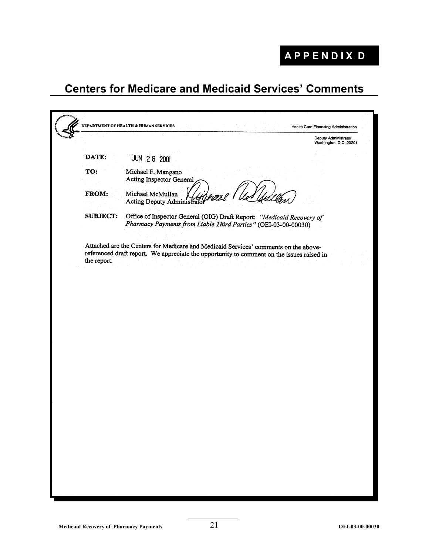## **APPENDIX D**

## **Centers for Medicare and Medicaid Services' Comments**

|                 |                                                                                                                                                                                  | Deputy Administrator<br>Washington, D.C. 20201 |
|-----------------|----------------------------------------------------------------------------------------------------------------------------------------------------------------------------------|------------------------------------------------|
| DATE:           | <b>JUN 28 2001</b>                                                                                                                                                               |                                                |
| TO:             | Michael F. Mangano<br><b>Acting Inspector General</b>                                                                                                                            |                                                |
| FROM:           | Michael McMullan<br>Acting Deputy Administrato                                                                                                                                   |                                                |
| <b>SUBJECT:</b> | Office of Inspector General (OIG) Draft Report: "Medicaid Recovery of<br>Pharmacy Payments from Liable Third Parties" (OEI-03-00-00030)                                          |                                                |
|                 | Attached are the Centers for Medicare and Medicaid Services' comments on the above-<br>referenced draft report. We appreciate the opportunity to comment on the issues raised in |                                                |
| the report.     |                                                                                                                                                                                  |                                                |
|                 |                                                                                                                                                                                  |                                                |
|                 |                                                                                                                                                                                  |                                                |
|                 |                                                                                                                                                                                  |                                                |
|                 |                                                                                                                                                                                  |                                                |
|                 |                                                                                                                                                                                  |                                                |
|                 |                                                                                                                                                                                  |                                                |
|                 |                                                                                                                                                                                  |                                                |
|                 |                                                                                                                                                                                  |                                                |
|                 |                                                                                                                                                                                  |                                                |
|                 |                                                                                                                                                                                  |                                                |
|                 |                                                                                                                                                                                  |                                                |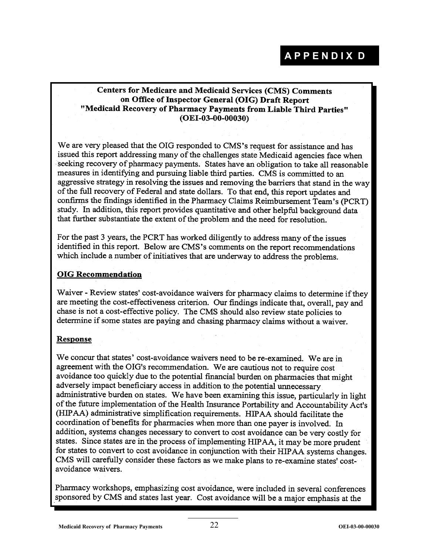#### **Centers for Medicare and Medicaid Services (CMS) Comments** on Office of Inspector General (OIG) Draft Report "Medicaid Recovery of Pharmacy Payments from Liable Third Parties"  $(OEI-03-00-00030)$

We are very pleased that the OIG responded to CMS's request for assistance and has issued this report addressing many of the challenges state Medicaid agencies face when seeking recovery of pharmacy payments. States have an obligation to take all reasonable measures in identifying and pursuing liable third parties. CMS is committed to an aggressive strategy in resolving the issues and removing the barriers that stand in the way of the full recovery of Federal and state dollars. To that end, this report updates and confirms the findings identified in the Pharmacy Claims Reimbursement Team's (PCRT) study. In addition, this report provides quantitative and other helpful background data that further substantiate the extent of the problem and the need for resolution.

For the past 3 years, the PCRT has worked diligently to address many of the issues identified in this report. Below are CMS's comments on the report recommendations which include a number of initiatives that are underway to address the problems.

#### **OIG Recommendation**

Waiver - Review states' cost-avoidance waivers for pharmacy claims to determine if they are meeting the cost-effectiveness criterion. Our findings indicate that, overall, pay and chase is not a cost-effective policy. The CMS should also review state policies to determine if some states are paying and chasing pharmacy claims without a waiver.

#### **Response**

We concur that states' cost-avoidance waivers need to be re-examined. We are in agreement with the OIG's recommendation. We are cautious not to require cost avoidance too quickly due to the potential financial burden on pharmacies that might adversely impact beneficiary access in addition to the potential unnecessary administrative burden on states. We have been examining this issue, particularly in light of the future implementation of the Health Insurance Portability and Accountability Act's (HIPAA) administrative simplification requirements. HIPAA should facilitate the coordination of benefits for pharmacies when more than one payer is involved. In addition, systems changes necessary to convert to cost avoidance can be very costly for states. Since states are in the process of implementing HIPAA, it may be more prudent for states to convert to cost avoidance in conjunction with their HIPAA systems changes. CMS will carefully consider these factors as we make plans to re-examine states' costavoidance waivers.

Pharmacy workshops, emphasizing cost avoidance, were included in several conferences sponsored by CMS and states last year. Cost avoidance will be a major emphasis at the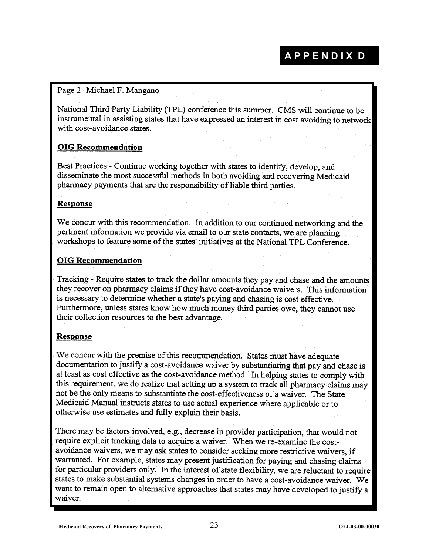## **APPENDIX D**

#### Page 2- Michael F. Mangano

National Third Party Liability (TPL) conference this summer. CMS will continue to be instrumental in assisting states that have expressed an interest in cost avoiding to network with cost-avoidance states.

#### **OIG Recommendation**

Best Practices - Continue working together with states to identify, develop, and disseminate the most successful methods in both avoiding and recovering Medicaid pharmacy payments that are the responsibility of liable third parties.

#### **Response**

We concur with this recommendation. In addition to our continued networking and the pertinent information we provide via email to our state contacts, we are planning workshops to feature some of the states' initiatives at the National TPL Conference.

#### **OIG Recommendation**

Tracking - Require states to track the dollar amounts they pay and chase and the amounts they recover on pharmacy claims if they have cost-avoidance waivers. This information is necessary to determine whether a state's paying and chasing is cost effective. Furthermore, unless states know how much money third parties owe, they cannot use their collection resources to the best advantage.

#### **Response**

We concur with the premise of this recommendation. States must have adequate documentation to justify a cost-avoidance waiver by substantiating that pay and chase is at least as cost effective as the cost-avoidance method. In helping states to comply with this requirement, we do realize that setting up a system to track all pharmacy claims may not be the only means to substantiate the cost-effectiveness of a waiver. The State Medicaid Manual instructs states to use actual experience where applicable or to otherwise use estimates and fully explain their basis.

There may be factors involved, e.g., decrease in provider participation, that would not require explicit tracking data to acquire a waiver. When we re-examine the costavoidance waivers, we may ask states to consider seeking more restrictive waivers, if warranted. For example, states may present justification for paying and chasing claims for particular providers only. In the interest of state flexibility, we are reluctant to require states to make substantial systems changes in order to have a cost-avoidance waiver. We want to remain open to alternative approaches that states may have developed to justify a waiver.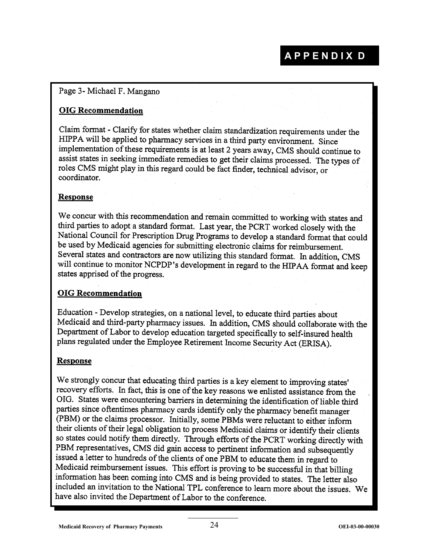#### Page 3- Michael F. Mangano

#### **OIG Recommendation**

Claim format - Clarify for states whether claim standardization requirements under the HIPPA will be applied to pharmacy services in a third party environment. Since implementation of these requirements is at least 2 years away, CMS should continue to assist states in seeking immediate remedies to get their claims processed. The types of roles CMS might play in this regard could be fact finder, technical advisor, or coordinator.

#### **Response**

We concur with this recommendation and remain committed to working with states and third parties to adopt a standard format. Last year, the PCRT worked closely with the National Council for Prescription Drug Programs to develop a standard format that could be used by Medicaid agencies for submitting electronic claims for reimbursement. Several states and contractors are now utilizing this standard format. In addition, CMS will continue to monitor NCPDP's development in regard to the HIPAA format and keep states apprised of the progress.

#### **OIG Recommendation**

Education - Develop strategies, on a national level, to educate third parties about Medicaid and third-party pharmacy issues. In addition, CMS should collaborate with the Department of Labor to develop education targeted specifically to self-insured health plans regulated under the Employee Retirement Income Security Act (ERISA).

#### **Response**

We strongly concur that educating third parties is a key element to improving states' recovery efforts. In fact, this is one of the key reasons we enlisted assistance from the OIG. States were encountering barriers in determining the identification of liable third parties since oftentimes pharmacy cards identify only the pharmacy benefit manager (PBM) or the claims processor. Initially, some PBMs were reluctant to either inform their clients of their legal obligation to process Medicaid claims or identify their clients so states could notify them directly. Through efforts of the PCRT working directly with PBM representatives, CMS did gain access to pertinent information and subsequently issued a letter to hundreds of the clients of one PBM to educate them in regard to Medicaid reimbursement issues. This effort is proving to be successful in that billing information has been coming into CMS and is being provided to states. The letter also included an invitation to the National TPL conference to learn more about the issues. We have also invited the Department of Labor to the conference.